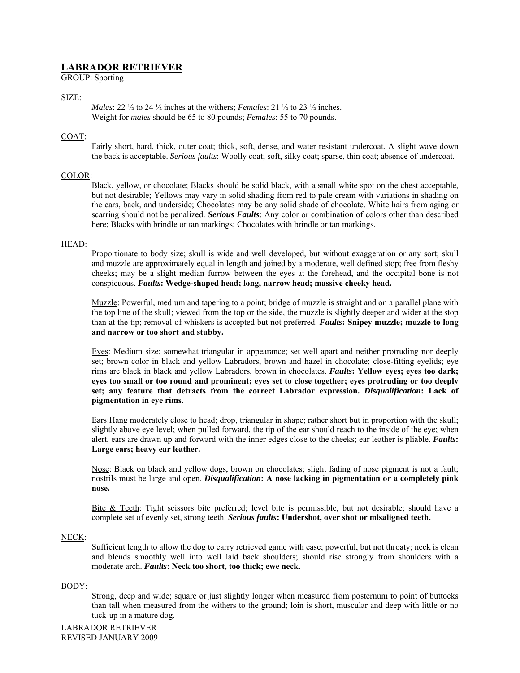# **LABRADOR RETRIEVER**

GROUP: Sporting

# SIZE:

*Males*: 22 ½ to 24 ½ inches at the withers; *Females*: 21 ½ to 23 ½ inches. Weight for *males* should be 65 to 80 pounds; *Females*: 55 to 70 pounds.

# COAT:

Fairly short, hard, thick, outer coat; thick, soft, dense, and water resistant undercoat. A slight wave down the back is acceptable. *Serious faults*: Woolly coat; soft, silky coat; sparse, thin coat; absence of undercoat.

# COLOR:

Black, yellow, or chocolate; Blacks should be solid black, with a small white spot on the chest acceptable, but not desirable; Yellows may vary in solid shading from red to pale cream with variations in shading on the ears, back, and underside; Chocolates may be any solid shade of chocolate. White hairs from aging or scarring should not be penalized. *Serious Faults*: Any color or combination of colors other than described here; Blacks with brindle or tan markings; Chocolates with brindle or tan markings.

# HEAD:

Proportionate to body size; skull is wide and well developed, but without exaggeration or any sort; skull and muzzle are approximately equal in length and joined by a moderate, well defined stop; free from fleshy cheeks; may be a slight median furrow between the eyes at the forehead, and the occipital bone is not conspicuous. *Faults***: Wedge-shaped head; long, narrow head; massive cheeky head.** 

Muzzle: Powerful, medium and tapering to a point; bridge of muzzle is straight and on a parallel plane with the top line of the skull; viewed from the top or the side, the muzzle is slightly deeper and wider at the stop than at the tip; removal of whiskers is accepted but not preferred. *Faults***: Snipey muzzle; muzzle to long and narrow or too short and stubby.** 

Eyes: Medium size; somewhat triangular in appearance; set well apart and neither protruding nor deeply set; brown color in black and yellow Labradors, brown and hazel in chocolate; close-fitting eyelids; eye rims are black in black and yellow Labradors, brown in chocolates. *Faults***: Yellow eyes; eyes too dark; eyes too small or too round and prominent; eyes set to close together; eyes protruding or too deeply set; any feature that detracts from the correct Labrador expression.** *Disqualification***: Lack of pigmentation in eye rims.** 

Ears:Hang moderately close to head; drop, triangular in shape; rather short but in proportion with the skull; slightly above eye level; when pulled forward, the tip of the ear should reach to the inside of the eye; when alert, ears are drawn up and forward with the inner edges close to the cheeks; ear leather is pliable. *Faults***: Large ears; heavy ear leather.** 

Nose: Black on black and yellow dogs, brown on chocolates; slight fading of nose pigment is not a fault; nostrils must be large and open. *Disqualification***: A nose lacking in pigmentation or a completely pink nose.** 

Bite & Teeth: Tight scissors bite preferred; level bite is permissible, but not desirable; should have a complete set of evenly set, strong teeth. *Serious faults***: Undershot, over shot or misaligned teeth.** 

#### NECK:

Sufficient length to allow the dog to carry retrieved game with ease; powerful, but not throaty; neck is clean and blends smoothly well into well laid back shoulders; should rise strongly from shoulders with a moderate arch. *Faults***: Neck too short, too thick; ewe neck.** 

# BODY:

Strong, deep and wide; square or just slightly longer when measured from posternum to point of buttocks than tall when measured from the withers to the ground; loin is short, muscular and deep with little or no tuck-up in a mature dog.

LABRADOR RETRIEVER REVISED JANUARY 2009